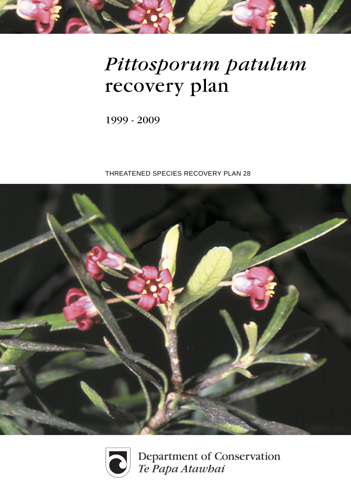# *Pittosporum patulum* recovery plan

1999 - 2009

THREATENED SPECIES RECOVERY PLAN 28





Department of Conservation<br>Te Papa Atawbai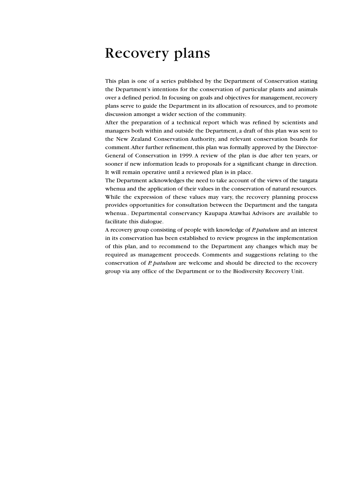### Recovery plans

This plan is one of a series published by the Department of Conservation stating the Department's intentions for the conservation of particular plants and animals over a defined period. In focusing on goals and objectives for management, recovery plans serve to guide the Department in its allocation of resources, and to promote discussion amongst a wider section of the community.

After the preparation of a technical report which was refined by scientists and managers both within and outside the Department, a draft of this plan was sent to the New Zealand Conservation Authority, and relevant conservation boards for comment. After further refinement, this plan was formally approved by the Director-General of Conservation in 1999. A review of the plan is due after ten years, or sooner if new information leads to proposals for a significant change in direction. It will remain operative until a reviewed plan is in place.

The Department acknowledges the need to take account of the views of the tangata whenua and the application of their values in the conservation of natural resources. While the expression of these values may vary, the recovery planning process provides opportunities for consultation between the Department and the tangata whenua.. Departmental conservancy Kaupapa Atawhai Advisors are available to facilitate this dialogue.

A recovery group consisting of people with knowledge of *P. patulum* and an interest in its conservation has been established to review progress in the implementation of this plan, and to recommend to the Department any changes which may be required as management proceeds. Comments and suggestions relating to the conservation of *P. patulum* are welcome and should be directed to the recovery group via any office of the Department or to the Biodiversity Recovery Unit.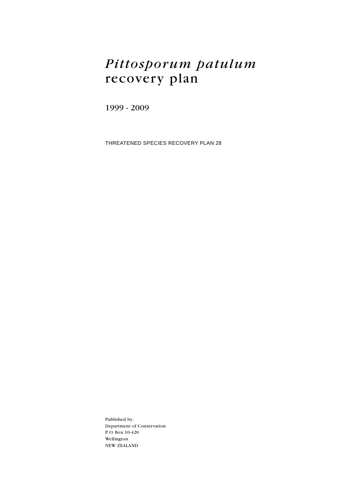### *Pittosporum patulum* recovery plan

1999 - 2009

THREATENED SPECIES RECOVERY PLAN 28

Published by: Department of Conservation P. O. Box 10-420 Wellington NEW ZEALAND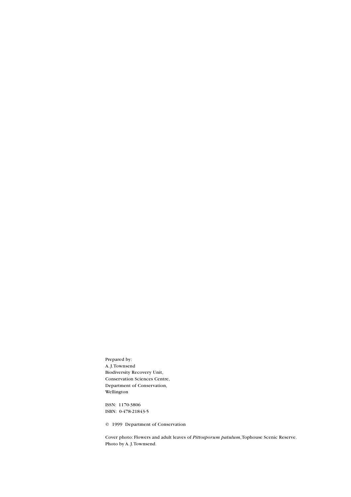Prepared by: A. J. Townsend Biodiversity Recovery Unit, Conservation Sciences Centre, Department of Conservation, Wellington

ISSN: 1170-3806 ISBN: 0-478-21843-5

© 1999 Department of Conservation

Cover photo: Flowers and adult leaves of *Pittosporum patulum*, Tophouse Scenic Reserve. Photo by A. J. Townsend.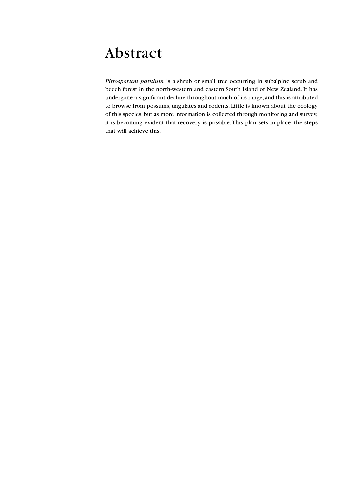### Abstract

*Pittosporum patulum* is a shrub or small tree occurring in subalpine scrub and beech forest in the north-western and eastern South Island of New Zealand. It has undergone a significant decline throughout much of its range, and this is attributed to browse from possums, ungulates and rodents. Little is known about the ecology of this species, but as more information is collected through monitoring and survey, it is becoming evident that recovery is possible. This plan sets in place, the steps that will achieve this.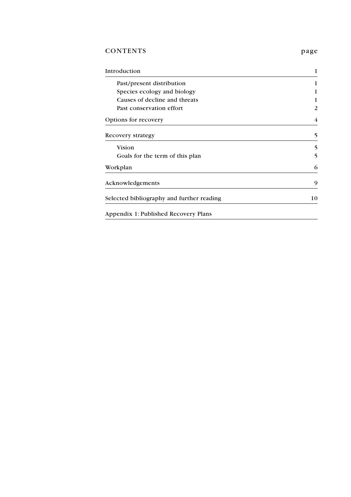### CONTENTS page

| Introduction                              | 1              |
|-------------------------------------------|----------------|
| Past/present distribution                 |                |
| Species ecology and biology               |                |
| Causes of decline and threats             |                |
| Past conservation effort                  | $\overline{c}$ |
| Options for recovery                      | 4              |
| Recovery strategy                         | 5              |
| Vision                                    | 5              |
| Goals for the term of this plan           | 5              |
| Workplan                                  | 6              |
| Acknowledgements                          | 9              |
| Selected bibliography and further reading | 10             |
| Appendix 1: Published Recovery Plans      |                |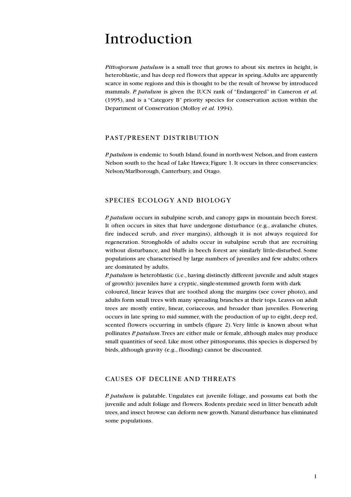### Introduction

*Pittosporum patulum* is a small tree that grows to about six metres in height, is heteroblastic, and has deep red flowers that appear in spring. Adults are apparently scarce in some regions and this is thought to be the result of browse by introduced mammals. *P. patulum* is given the IUCN rank of "Endangered" in Cameron *et al.* (1995), and is a "Category B" priority species for conservation action within the Department of Conservation (Molloy *et al.* 1994).

#### PAST/PRESENT DISTRIBUTION

*P. patulum* is endemic to South Island, found in north-west Nelson, and from eastern Nelson south to the head of Lake Hawea; Figure 1. It occurs in three conservancies: Nelson/Marlborough, Canterbury, and Otago.

#### SPECIES ECOLOGY AND BIOLOGY

*P. patulum* occurs in subalpine scrub, and canopy gaps in mountain beech forest. It often occurs in sites that have undergone disturbance (e.g., avalanche chutes, fire induced scrub, and river margins), although it is not always required for regeneration. Strongholds of adults occur in subalpine scrub that are recruiting without disturbance, and bluffs in beech forest are similarly little-disturbed. Some populations are characterised by large numbers of juveniles and few adults; others are dominated by adults.

*P. patulum* is heteroblastic (i.e., having distinctly different juvenile and adult stages of growth): juveniles have a cryptic, single-stemmed growth form with dark

coloured, linear leaves that are toothed along the margins (see cover photo), and adults form small trees with many spreading branches at their tops. Leaves on adult trees are mostly entire, linear, coriaceous, and broader than juveniles. Flowering occurs in late spring to mid summer, with the production of up to eight, deep red, scented flowers occurring in umbels (figure 2). Very little is known about what pollinates *P. patulum*. Trees are either male or female, although males may produce small quantities of seed. Like most other pittosporums, this species is dispersed by birds, although gravity (e.g., flooding) cannot be discounted.

#### CAUSES OF DECLINE AND THREATS

*P. patulum* is palatable. Ungulates eat juvenile foliage, and possums eat both the juvenile and adult foliage and flowers. Rodents predate seed in litter beneath adult trees, and insect browse can deform new growth. Natural disturbance has eliminated some populations.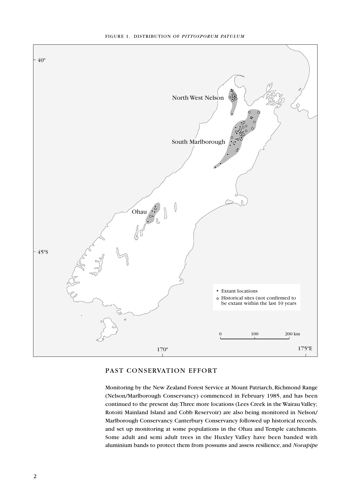

#### PAST CONSERVATION EFFORT

Monitoring by the New Zealand Forest Service at Mount Patriarch, Richmond Range (Nelson/Marlborough Conservancy) commenced in February 1985, and has been continued to the present day. Three more locations (Lees Creek in the Wairau Valley; Rotoiti Mainland Island and Cobb Reservoir) are also being monitored in Nelson/ Marlborough Conservancy. Canterbury Conservancy followed up historical records, and set up monitoring at some populations in the Ohau and Temple catchments. Some adult and semi adult trees in the Huxley Valley have been banded with aluminium bands to protect them from possums and assess resilience, and *Novapipe*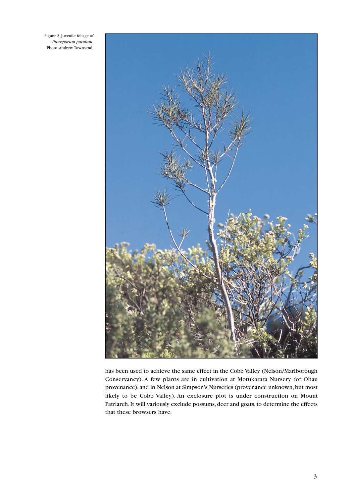Figure 2. Juvenile foliage of *Pittosporum patulum*. Photo: Andrew Townsend.



has been used to achieve the same effect in the Cobb Valley (Nelson/Marlborough Conservancy). A few plants are in cultivation at Motukarara Nursery (of Ohau provenance), and in Nelson at Simpson's Nurseries (provenance unknown, but most likely to be Cobb Valley). An exclosure plot is under construction on Mount Patriarch. It will variously exclude possums, deer and goats, to determine the effects that these browsers have.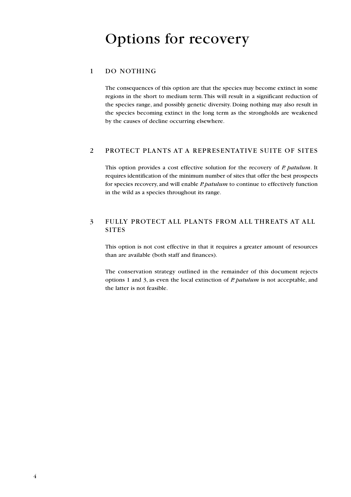#### 1 DO NOTHING

The consequences of this option are that the species may become extinct in some regions in the short to medium term. This will result in a significant reduction of the species range, and possibly genetic diversity. Doing nothing may also result in the species becoming extinct in the long term as the strongholds are weakened by the causes of decline occurring elsewhere.

#### 2 PROTECT PLANTS AT A REPRESENTATIVE SUITE OF SITES

This option provides a cost effective solution for the recovery of *P. patulum*. It requires identification of the minimum number of sites that offer the best prospects for species recovery, and will enable *P. patulum* to continue to effectively function in the wild as a species throughout its range.

#### 3 FULLY PROTECT ALL PLANTS FROM ALL THREATS AT ALL SITES

This option is not cost effective in that it requires a greater amount of resources than are available (both staff and finances).

The conservation strategy outlined in the remainder of this document rejects options 1 and 3, as even the local extinction of *P. patulum* is not acceptable, and the latter is not feasible.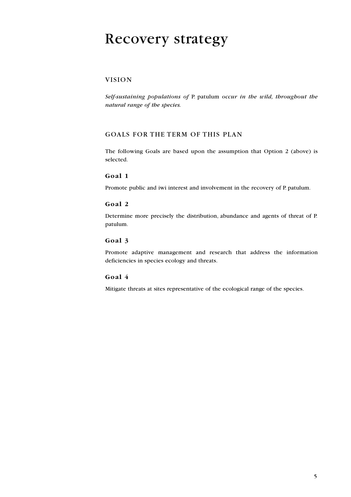### Recovery strategy

#### VISION

*Self-sustaining populations of* P. patulum *occur in the wild, throughout the natural range of the species.*

#### GOALS FOR THE TERM OF THIS PLAN

The following Goals are based upon the assumption that Option 2 (above) is selected.

#### **Goal 1**

Promote public and iwi interest and involvement in the recovery of P. patulum.

#### **Goal 2**

Determine more precisely the distribution, abundance and agents of threat of P. patulum.

#### **Goal 3**

Promote adaptive management and research that address the information deficiencies in species ecology and threats.

#### **Goal 4**

Mitigate threats at sites representative of the ecological range of the species.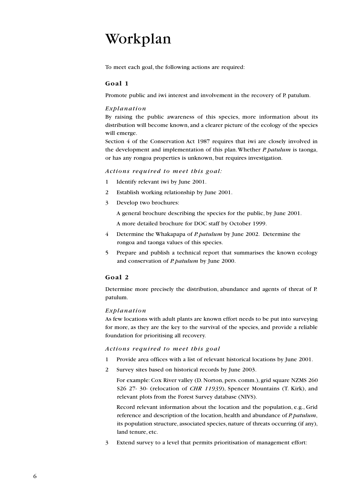## Workplan

To meet each goal, the following actions are required:

#### **Goal 1**

Promote public and iwi interest and involvement in the recovery of P. patulum.

#### *Explanation*

By raising the public awareness of this species, more information about its distribution will become known, and a clearer picture of the ecology of the species will emerge.

Section 4 of the Conservation Act 1987 requires that iwi are closely involved in the development and implementation of this plan. Whether *P. patulum* is taonga, or has any rongoa properties is unknown, but requires investigation.

#### *Actions required to meet this goal:*

- 1 Identify relevant iwi by June 2001.
- 2 Establish working relationship by June 2001.
- 3 Develop two brochures:

A general brochure describing the species for the public, by June 2001.

A more detailed brochure for DOC staff by October 1999.

- 4 Determine the Whakapapa of *P. patulum* by June 2002. Determine the rongoa and taonga values of this species.
- 5 Prepare and publish a technical report that summarises the known ecology and conservation of *P. patulum* by June 2000.

#### **Goal 2**

Determine more precisely the distribution, abundance and agents of threat of P. patulum.

#### *Explanation*

As few locations with adult plants are known effort needs to be put into surveying for more, as they are the key to the survival of the species, and provide a reliable foundation for prioritising all recovery.

#### *Actions required to meet this goal*

- 1 Provide area offices with a list of relevant historical locations by June 2001.
- 2 Survey sites based on historical records by June 2003.

For example: Cox River valley (D. Norton, pers. comm.), grid square NZMS 260 S26 27- 30- (relocation of *CHR 11939*), Spencer Mountains (T. Kirk), and relevant plots from the Forest Survey database (NIVS).

Record relevant information about the location and the population, e.g., Grid reference and description of the location, health and abundance of *P. patulum*, its population structure, associated species, nature of threats occurring (if any), land tenure, etc.

3 Extend survey to a level that permits prioritisation of management effort: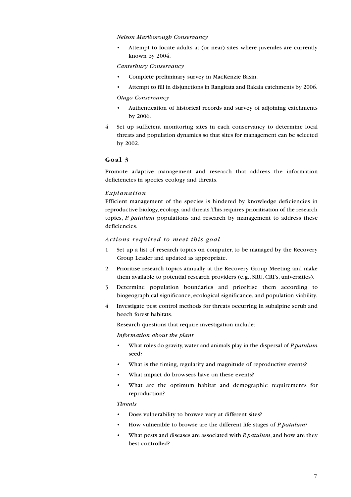#### *Nelson Marlborough Conservancy*

Attempt to locate adults at (or near) sites where juveniles are currently known by 2004.

#### *Canterbury Conservancy*

- Complete preliminary survey in MacKenzie Basin.
- Attempt to fill in disjunctions in Rangitata and Rakaia catchments by 2006.

#### *Otago Conservancy*

- Authentication of historical records and survey of adjoining catchments by 2006.
- 4 Set up sufficient monitoring sites in each conservancy to determine local threats and population dynamics so that sites for management can be selected by 2002.

#### **Goal 3**

Promote adaptive management and research that address the information deficiencies in species ecology and threats.

#### *Explanation*

Efficient management of the species is hindered by knowledge deficiencies in reproductive biology, ecology, and threats. This requires prioritisation of the research topics, *P. patulum* populations and research by management to address these deficiencies.

#### *Actions required to meet this goal*

- 1 Set up a list of research topics on computer, to be managed by the Recovery Group Leader and updated as appropriate.
- 2 Prioritise research topics annually at the Recovery Group Meeting and make them available to potential research providers (e.g., SRU, CRI's, universities).
- 3 Determine population boundaries and prioritise them according to biogeographical significance, ecological significance, and population viability.
- 4 Investigate pest control methods for threats occurring in subalpine scrub and beech forest habitats.

Research questions that require investigation include:

#### *Information about the plant*

- What roles do gravity, water and animals play in the dispersal of *P. patulum* seed?
- What is the timing, regularity and magnitude of reproductive events?
- What impact do browsers have on these events?
- What are the optimum habitat and demographic requirements for reproduction?

#### *Threats*

- Does vulnerability to browse vary at different sites?
- How vulnerable to browse are the different life stages of *P. patulum*?
- What pests and diseases are associated with *P. patulum*, and how are they best controlled?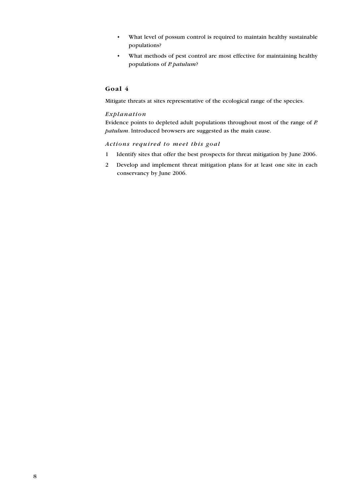- What level of possum control is required to maintain healthy sustainable populations?
- What methods of pest control are most effective for maintaining healthy populations of *P. patulum*?

### **Goal 4**

Mitigate threats at sites representative of the ecological range of the species.

#### *Explanation*

Evidence points to depleted adult populations throughout most of the range of *P. patulum*. Introduced browsers are suggested as the main cause.

#### *Actions required to meet this goal*

- 1 Identify sites that offer the best prospects for threat mitigation by June 2006.
- 2 Develop and implement threat mitigation plans for at least one site in each conservancy by June 2006.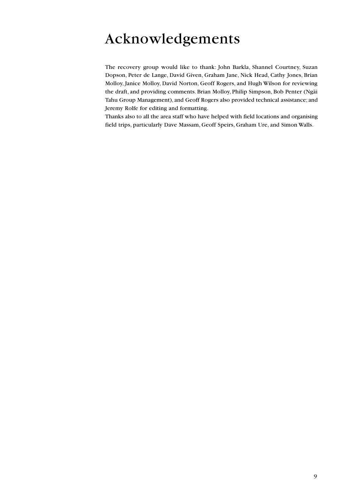## Acknowledgements

The recovery group would like to thank: John Barkla, Shannel Courtney, Suzan Dopson, Peter de Lange, David Given, Graham Jane, Nick Head, Cathy Jones, Brian Molloy, Janice Molloy, David Norton, Geoff Rogers, and Hugh Wilson for reviewing the draft, and providing comments. Brian Molloy, Philip Simpson, Bob Penter (Ngäi Tahu Group Management), and Geoff Rogers also provided technical assistance; and Jeremy Rolfe for editing and formatting.

Thanks also to all the area staff who have helped with field locations and organising field trips, particularly Dave Massam, Geoff Speirs, Graham Ure, and Simon Walls.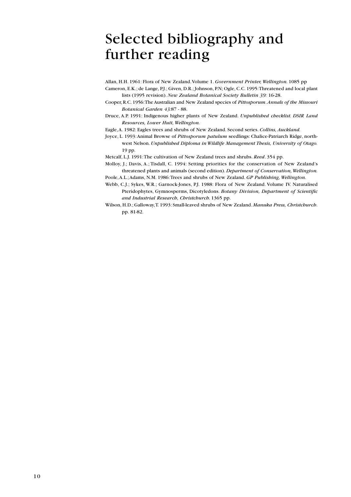### Selected bibliography and further reading

Allan, H.H. 1961: Flora of New Zealand. Volume 1. *Government Printer, Wellington.* 1085 pp Cameron, E.K.; de Lange, P.J.; Given, D.R.; Johnson, P.N; Ogle, C.C. 1995: Threatened and local plant lists (1995 revision). *New Zealand Botanical Society Bulletin 39:* 16-28.

- Cooper, R.C. 1956: The Australian and New Zealand species of *Pittosporum*. *Annals of the Missouri Botanical Garden 43:*87 - 88.
- Druce, A.P. 1991: Indigenous higher plants of New Zealand. *Unpublished checklist. DSIR Land Resources, Lower Hutt, Wellington.*
- Eagle, A. 1982: Eagles trees and shrubs of New Zealand. Second series. *Collins, Auckland.*
- Joyce, L. 1993: Animal Browse of *Pittosporum patulum* seedlings: Chalice-Patriarch Ridge, northwest Nelson. *Unpublished Diploma in Wildlife Management Thesis, University of Otago.* 19 pp.

Metcalf, L.J. 1991: The cultivation of New Zealand trees and shrubs. *Reed*. 354 pp.

- Molloy, J.; Davis, A.; Tisdall, C. 1994: Setting priorities for the conservation of New Zealand's threatened plants and animals (second edition). *Department of Conservation, Wellington.*
- Poole, A.L.; Adams, N.M. 1986: Trees and shrubs of New Zealand. *GP Publishing, Wellington.*
- Webb, C.J.; Sykes, W.R.; Garnock-Jones, P.J. 1988: Flora of New Zealand. Volume IV. Naturalised Pteridophytes, Gymnosperms, Dicotyledons. *Botany Division, Department of Scientific and Industrial Research, Christchurch.* 1365 pp.
- Wilson, H.D.; Galloway, T. 1993: Small-leaved shrubs of New Zealand. *Manuka Press, Christchurch*. pp. 81-82.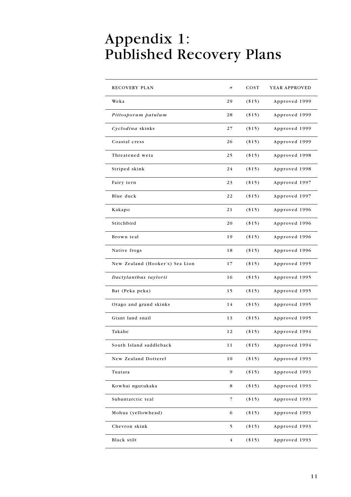## Appendix 1: Published Recovery Plans

| <b>RECOVERY PLAN</b>            | $\#$           | COST    | YEAR APPROVED |
|---------------------------------|----------------|---------|---------------|
| Weka                            | 29             | (15)    | Approved 1999 |
| Pittosporum patulum             | 28             | (15)    | Approved 1999 |
| Cyclodina skinks                | 27             | $(*15)$ | Approved 1999 |
| Coastal cress                   | 26             | (15)    | Approved 1999 |
| Threatened weta                 | 25             | $(*15)$ | Approved 1998 |
| Striped skink                   | 24             | $(*15)$ | Approved 1998 |
| Fairy tern                      | 23             | (15)    | Approved 1997 |
| Blue duck                       | 22             | $(*15)$ | Approved 1997 |
| Kakapo                          | 21             | $(*15)$ | Approved 1996 |
| Stitchbird                      | 20             | $(*15)$ | Approved 1996 |
| Brown teal                      | 19             | (15)    | Approved 1996 |
| Native frogs                    | 18             | (15)    | Approved 1996 |
| New Zealand (Hooker's) Sea Lion | 17             | $(*15)$ | Approved 1995 |
| Dactylanthus taylorii           | 16             | $(*15)$ | Approved 1995 |
| Bat (Peka peka)                 | 15             | (15)    | Approved 1995 |
| Otago and grand skinks          | 14             | $(*15)$ | Approved 1995 |
| Giant land snail                | 13             | $(*15)$ | Approved 1995 |
| Takahe                          | 12             | (15)    | Approved 1994 |
| South Island saddleback         | 11             | $(*15)$ | Approved 1994 |
| New Zealand Dotterel            | 10             | $(*15)$ | Approved 1993 |
| Tuatara                         | 9              | ( \$15) | Approved 1993 |
| Kowhai ngutukaka                | 8              | (15)    | Approved 1993 |
| Subantarctic teal               | 7              | (15)    | Approved 1993 |
| Mohua (yellowhead)              | 6              | $(*15)$ | Approved 1993 |
| Chevron skink                   | 5              | $(*15)$ | Approved 1993 |
| Black stilt                     | $\overline{4}$ | (15)    | Approved 1993 |